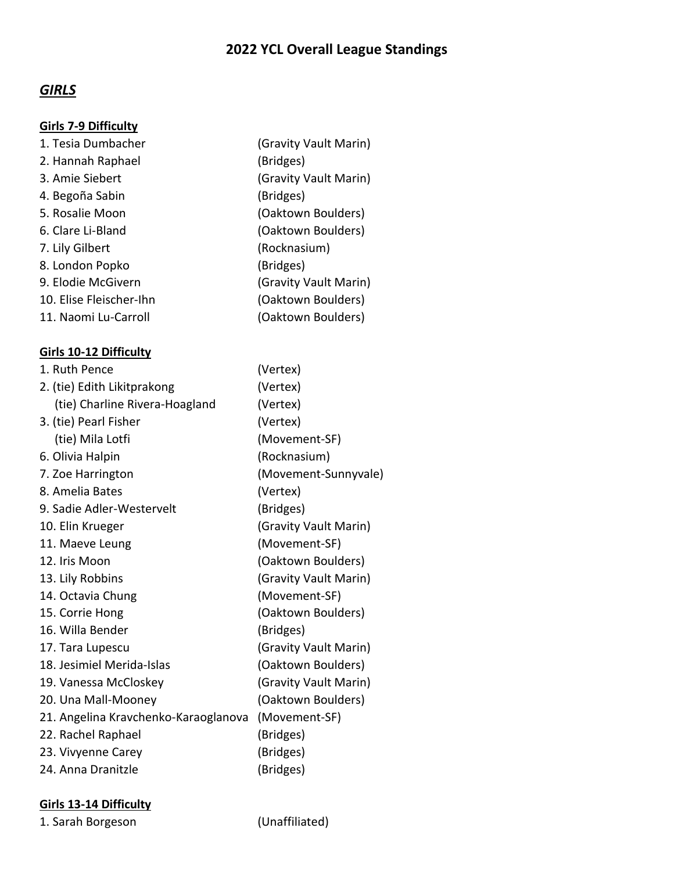# **2022 YCL Overall League Standings**

# *GIRLS*

#### **Girls 7-9 Difficulty**

| 1. Tesia Dumbacher      | (Gravity Vault Marin) |
|-------------------------|-----------------------|
| 2. Hannah Raphael       | (Bridges)             |
| 3. Amie Siebert         | (Gravity Vault Marin) |
| 4. Begoña Sabin         | (Bridges)             |
| 5. Rosalie Moon         | (Oaktown Boulders)    |
| 6. Clare Li-Bland       | (Oaktown Boulders)    |
| 7. Lily Gilbert         | (Rocknasium)          |
| 8. London Popko         | (Bridges)             |
| 9. Elodie McGivern      | (Gravity Vault Marin) |
| 10. Elise Fleischer-Ihn | (Oaktown Boulders)    |
| 11. Naomi Lu-Carroll    | (Oaktown Boulders)    |

#### **Girls 10-12 Difficulty**

| 1. Ruth Pence                        | (Vertex)              |
|--------------------------------------|-----------------------|
| 2. (tie) Edith Likitprakong          | (Vertex)              |
| (tie) Charline Rivera-Hoagland       | (Vertex)              |
| 3. (tie) Pearl Fisher                | (Vertex)              |
| (tie) Mila Lotfi                     | (Movement-SF)         |
| 6. Olivia Halpin                     | (Rocknasium)          |
| 7. Zoe Harrington                    | (Movement-Sunnyvale)  |
| 8. Amelia Bates                      | (Vertex)              |
| 9. Sadie Adler-Westervelt            | (Bridges)             |
| 10. Elin Krueger                     | (Gravity Vault Marin) |
| 11. Maeve Leung                      | (Movement-SF)         |
| 12. Iris Moon                        | (Oaktown Boulders)    |
| 13. Lily Robbins                     | (Gravity Vault Marin) |
| 14. Octavia Chung                    | (Movement-SF)         |
| 15. Corrie Hong                      | (Oaktown Boulders)    |
| 16. Willa Bender                     | (Bridges)             |
| 17. Tara Lupescu                     | (Gravity Vault Marin) |
| 18. Jesimiel Merida-Islas            | (Oaktown Boulders)    |
| 19. Vanessa McCloskey                | (Gravity Vault Marin) |
| 20. Una Mall-Mooney                  | (Oaktown Boulders)    |
| 21. Angelina Kravchenko-Karaoglanova | (Movement-SF)         |
| 22. Rachel Raphael                   | (Bridges)             |
| 23. Vivyenne Carey                   | (Bridges)             |
| 24. Anna Dranitzle                   | (Bridges)             |

### **Girls 13-14 Difficulty**

1. Sarah Borgeson (Unaffiliated)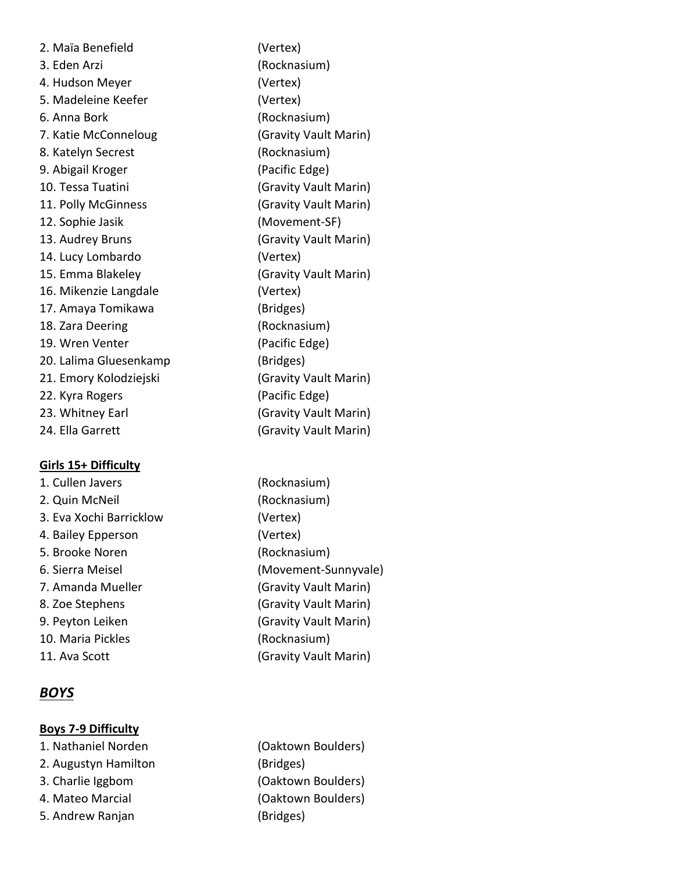2. Maïa Benefield (Vertex) 3. Eden Arzi (Rocknasium) 4. Hudson Meyer (Vertex) 5. Madeleine Keefer (Vertex) 6. Anna Bork (Rocknasium) 7. Katie McConneloug (Gravity Vault Marin) 8. Katelyn Secrest (Rocknasium) 9. Abigail Kroger (Pacific Edge) 10. Tessa Tuatini (Gravity Vault Marin) 11. Polly McGinness (Gravity Vault Marin) 12. Sophie Jasik (Movement-SF) 13. Audrey Bruns (Gravity Vault Marin) 14. Lucy Lombardo (Vertex) 15. Emma Blakeley (Gravity Vault Marin) 16. Mikenzie Langdale (Vertex) 17. Amaya Tomikawa (Bridges) 18. Zara Deering (Rocknasium) 19. Wren Venter (Pacific Edge) 20. Lalima Gluesenkamp (Bridges) 21. Emory Kolodziejski (Gravity Vault Marin) 22. Kyra Rogers (Pacific Edge) 23. Whitney Earl (Gravity Vault Marin) 24. Ella Garrett (Gravity Vault Marin)

#### **Girls 15+ Difficulty**

1. Cullen Javers (Rocknasium) 2. Quin McNeil (Rocknasium) 3. Eva Xochi Barricklow (Vertex) 4. Bailey Epperson (Vertex) 5. Brooke Noren (Rocknasium) 6. Sierra Meisel (Movement-Sunnyvale) 7. Amanda Mueller (Gravity Vault Marin) 8. Zoe Stephens (Gravity Vault Marin) 9. Peyton Leiken (Gravity Vault Marin) 10. Maria Pickles (Rocknasium) 11. Ava Scott (Gravity Vault Marin)

### *BOYS*

**Boys 7-9 Difficulty** 1. Nathaniel Norden (Oaktown Boulders) 2. Augustyn Hamilton (Bridges) 3. Charlie Iggbom (Oaktown Boulders) 4. Mateo Marcial (Oaktown Boulders) 5. Andrew Ranjan (Bridges)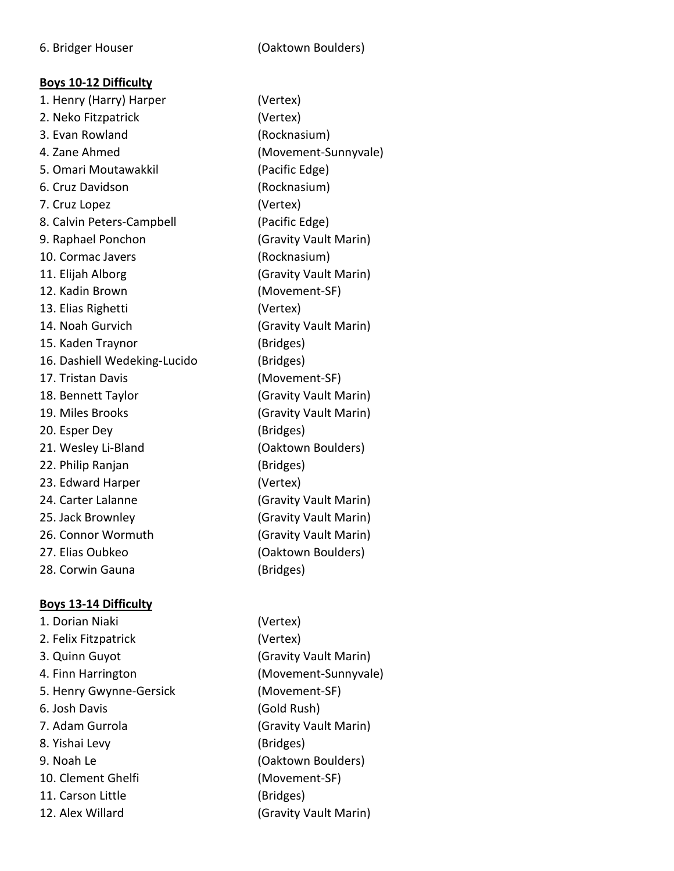#### **Boys 10-12 Difficulty**

1. Henry (Harry) Harper (Vertex) 2. Neko Fitzpatrick (Vertex) 3. Evan Rowland (Rocknasium) 4. Zane Ahmed (Movement-Sunnyvale) 5. Omari Moutawakkil (Pacific Edge) 6. Cruz Davidson (Rocknasium) 7. Cruz Lopez (Vertex) 8. Calvin Peters-Campbell (Pacific Edge) 9. Raphael Ponchon (Gravity Vault Marin) 10. Cormac Javers (Rocknasium) 11. Elijah Alborg (Gravity Vault Marin) 12. Kadin Brown (Movement-SF) 13. Elias Righetti (Vertex) 14. Noah Gurvich (Gravity Vault Marin) 15. Kaden Traynor (Bridges) 16. Dashiell Wedeking-Lucido (Bridges) 17. Tristan Davis (Movement-SF) 18. Bennett Taylor (Gravity Vault Marin) 19. Miles Brooks (Gravity Vault Marin) 20. Esper Dey (Bridges) 21. Wesley Li-Bland (Oaktown Boulders) 22. Philip Ranjan (Bridges) 23. Edward Harper (Vertex) 24. Carter Lalanne (Gravity Vault Marin) 25. Jack Brownley (Gravity Vault Marin) 26. Connor Wormuth (Gravity Vault Marin) 27. Elias Oubkeo (Oaktown Boulders) 28. Corwin Gauna (Bridges)

#### **Boys 13-14 Difficulty**

1. Dorian Niaki (Vertex) 2. Felix Fitzpatrick (Vertex) 3. Quinn Guyot (Gravity Vault Marin) 4. Finn Harrington (Movement-Sunnyvale) 5. Henry Gwynne-Gersick (Movement-SF) 6. Josh Davis (Gold Rush) 7. Adam Gurrola (Gravity Vault Marin) 8. Yishai Levy (Bridges) 9. Noah Le (Oaktown Boulders) 10. Clement Ghelfi (Movement-SF) 11. Carson Little (Bridges)

12. Alex Willard (Gravity Vault Marin)